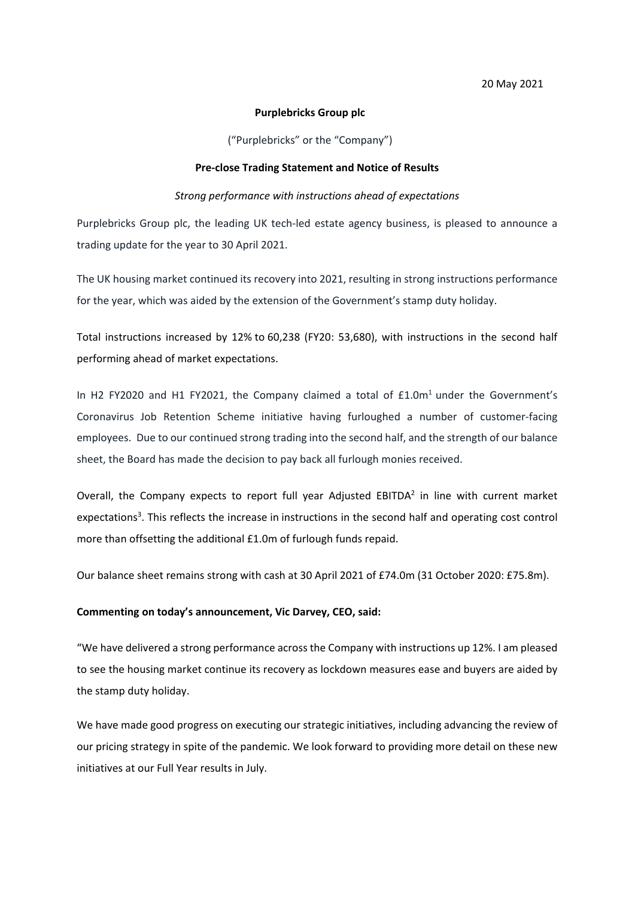### **Purplebricks Group plc**

("Purplebricks" or the "Company")

#### **Pre-close Trading Statement and Notice of Results**

## *Strong performance with instructions ahead of expectations*

Purplebricks Group plc, the leading UK tech-led estate agency business, is pleased to announce a trading update for the year to 30 April 2021.

The UK housing market continued its recovery into 2021, resulting in strong instructions performance for the year, which was aided by the extension of the Government's stamp duty holiday.

Total instructions increased by 12% to 60,238 (FY20: 53,680), with instructions in the second half performing ahead of market expectations.

In H2 FY2020 and H1 FY2021, the Company claimed a total of  $£1.0m<sup>1</sup>$  under the Government's Coronavirus Job Retention Scheme initiative having furloughed a number of customer-facing employees. Due to our continued strong trading into the second half, and the strength of our balance sheet, the Board has made the decision to pay back all furlough monies received.

Overall, the Company expects to report full year Adjusted EBITDA<sup>2</sup> in line with current market expectations<sup>3</sup>. This reflects the increase in instructions in the second half and operating cost control more than offsetting the additional £1.0m of furlough funds repaid.

Our balance sheet remains strong with cash at 30 April 2021 of £74.0m (31 October 2020: £75.8m).

## **Commenting on today's announcement, Vic Darvey, CEO, said:**

"We have delivered a strong performance across the Company with instructions up 12%. I am pleased to see the housing market continue its recovery as lockdown measures ease and buyers are aided by the stamp duty holiday.

We have made good progress on executing our strategic initiatives, including advancing the review of our pricing strategy in spite of the pandemic. We look forward to providing more detail on these new initiatives at our Full Year results in July.